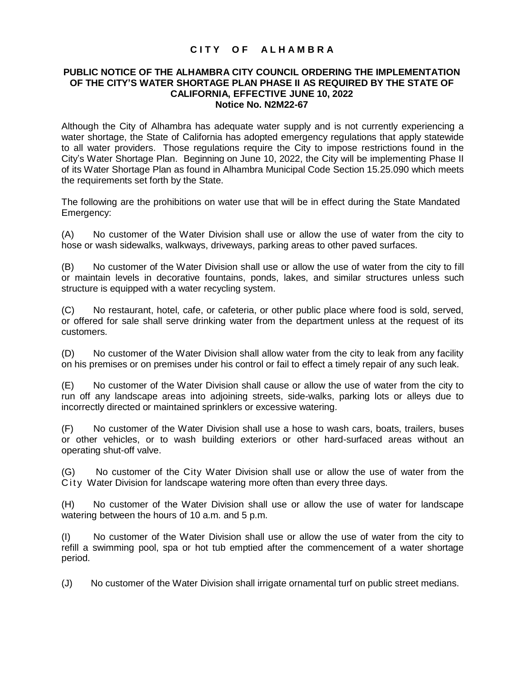## **C I T Y O F A L H A M B R A**

## **PUBLIC NOTICE OF THE ALHAMBRA CITY COUNCIL ORDERING THE IMPLEMENTATION OF THE CITY'S WATER SHORTAGE PLAN PHASE II AS REQUIRED BY THE STATE OF CALIFORNIA, EFFECTIVE JUNE 10, 2022 Notice No. N2M22-67**

Although the City of Alhambra has adequate water supply and is not currently experiencing a water shortage, the State of California has adopted emergency regulations that apply statewide to all water providers. Those regulations require the City to impose restrictions found in the City's Water Shortage Plan. Beginning on June 10, 2022, the City will be implementing Phase II of its Water Shortage Plan as found in Alhambra Municipal Code Section 15.25.090 which meets the requirements set forth by the State.

The following are the prohibitions on water use that will be in effect during the State Mandated Emergency:

(A) No customer of the Water Division shall use or allow the use of water from the city to hose or wash sidewalks, walkways, driveways, parking areas to other paved surfaces.

(B) No customer of the Water Division shall use or allow the use of water from the city to fill or maintain levels in decorative fountains, ponds, lakes, and similar structures unless such structure is equipped with a water recycling system.

(C) No restaurant, hotel, cafe, or cafeteria, or other public place where food is sold, served, or offered for sale shall serve drinking water from the department unless at the request of its customers.

(D) No customer of the Water Division shall allow water from the city to leak from any facility on his premises or on premises under his control or fail to effect a timely repair of any such leak.

(E) No customer of the Water Division shall cause or allow the use of water from the city to run off any landscape areas into adjoining streets, side-walks, parking lots or alleys due to incorrectly directed or maintained sprinklers or excessive watering.

(F) No customer of the Water Division shall use a hose to wash cars, boats, trailers, buses or other vehicles, or to wash building exteriors or other hard-surfaced areas without an operating shut-off valve.

(G) No customer of the City Water Division shall use or allow the use of water from the City Water Division for landscape watering more often than every three days.

(H) No customer of the Water Division shall use or allow the use of water for landscape watering between the hours of 10 a.m. and 5 p.m.

(I) No customer of the Water Division shall use or allow the use of water from the city to refill a swimming pool, spa or hot tub emptied after the commencement of a water shortage period.

(J) No customer of the Water Division shall irrigate ornamental turf on public street medians.